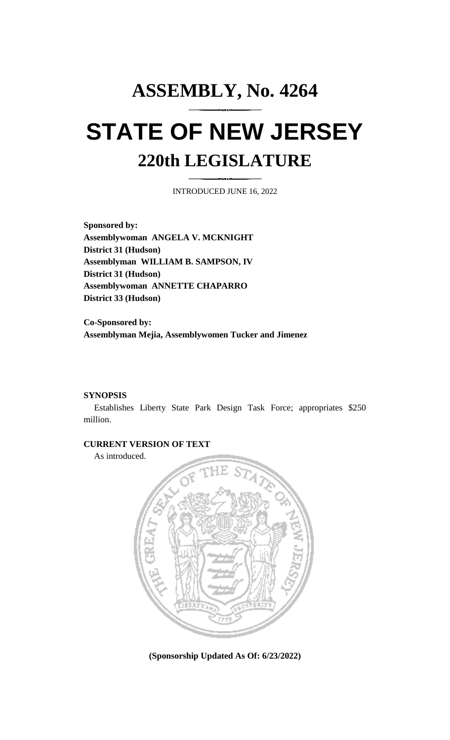# **ASSEMBLY, No. 4264 STATE OF NEW JERSEY 220th LEGISLATURE**

INTRODUCED JUNE 16, 2022

**Sponsored by: Assemblywoman ANGELA V. MCKNIGHT District 31 (Hudson) Assemblyman WILLIAM B. SAMPSON, IV District 31 (Hudson) Assemblywoman ANNETTE CHAPARRO District 33 (Hudson)**

**Co-Sponsored by: Assemblyman Mejia, Assemblywomen Tucker and Jimenez**

## **SYNOPSIS**

Establishes Liberty State Park Design Task Force; appropriates \$250 million.

## **CURRENT VERSION OF TEXT**

As introduced.



**(Sponsorship Updated As Of: 6/23/2022)**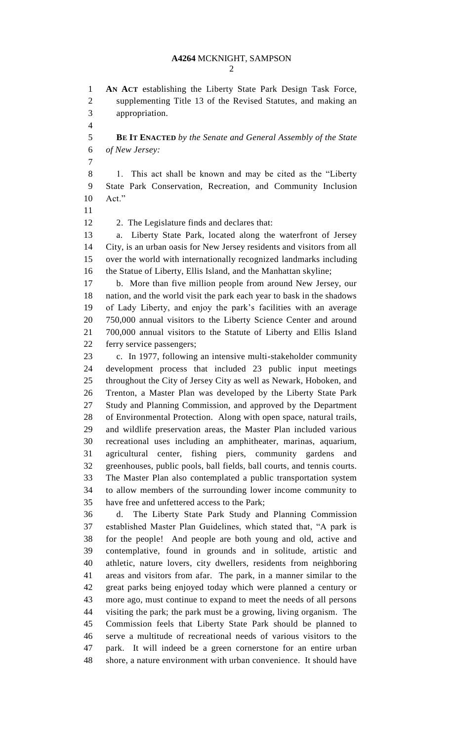## **A4264** MCKNIGHT, SAMPSON

 **AN ACT** establishing the Liberty State Park Design Task Force, supplementing Title 13 of the Revised Statutes, and making an appropriation.

 **BE IT ENACTED** *by the Senate and General Assembly of the State of New Jersey:*

- 1. This act shall be known and may be cited as the "Liberty State Park Conservation, Recreation, and Community Inclusion Act."
- 

12 2. The Legislature finds and declares that:

 a. Liberty State Park, located along the waterfront of Jersey City, is an urban oasis for New Jersey residents and visitors from all over the world with internationally recognized landmarks including the Statue of Liberty, Ellis Island, and the Manhattan skyline;

 b. More than five million people from around New Jersey, our nation, and the world visit the park each year to bask in the shadows of Lady Liberty, and enjoy the park's facilities with an average 750,000 annual visitors to the Liberty Science Center and around 700,000 annual visitors to the Statute of Liberty and Ellis Island ferry service passengers;

 c. In 1977, following an intensive multi-stakeholder community development process that included 23 public input meetings throughout the City of Jersey City as well as Newark, Hoboken, and Trenton, a Master Plan was developed by the Liberty State Park Study and Planning Commission, and approved by the Department of Environmental Protection. Along with open space, natural trails, and wildlife preservation areas, the Master Plan included various recreational uses including an amphitheater, marinas, aquarium, agricultural center, fishing piers, community gardens and greenhouses, public pools, ball fields, ball courts, and tennis courts. The Master Plan also contemplated a public transportation system to allow members of the surrounding lower income community to have free and unfettered access to the Park;

 d. The Liberty State Park Study and Planning Commission established Master Plan Guidelines, which stated that, "A park is for the people! And people are both young and old, active and contemplative, found in grounds and in solitude, artistic and athletic, nature lovers, city dwellers, residents from neighboring areas and visitors from afar. The park, in a manner similar to the great parks being enjoyed today which were planned a century or more ago, must continue to expand to meet the needs of all persons visiting the park; the park must be a growing, living organism. The Commission feels that Liberty State Park should be planned to serve a multitude of recreational needs of various visitors to the park. It will indeed be a green cornerstone for an entire urban shore, a nature environment with urban convenience. It should have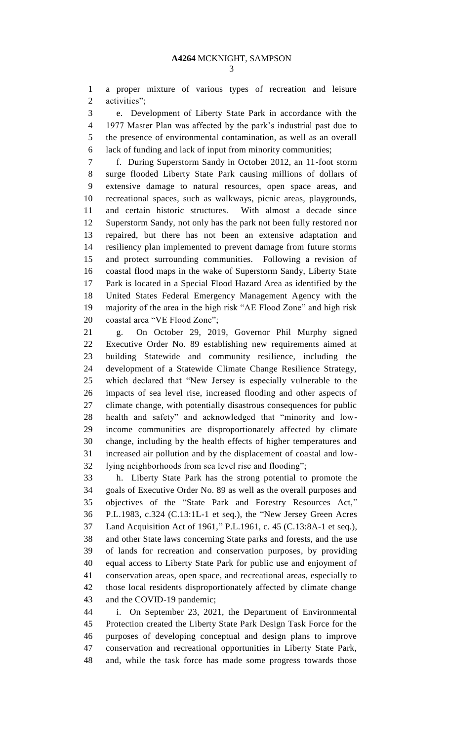a proper mixture of various types of recreation and leisure activities";

 e. Development of Liberty State Park in accordance with the 1977 Master Plan was affected by the park's industrial past due to the presence of environmental contamination, as well as an overall lack of funding and lack of input from minority communities;

 f. During Superstorm Sandy in October 2012, an 11-foot storm surge flooded Liberty State Park causing millions of dollars of extensive damage to natural resources, open space areas, and recreational spaces, such as walkways, picnic areas, playgrounds, and certain historic structures. With almost a decade since Superstorm Sandy, not only has the park not been fully restored nor repaired, but there has not been an extensive adaptation and resiliency plan implemented to prevent damage from future storms and protect surrounding communities. Following a revision of coastal flood maps in the wake of Superstorm Sandy, Liberty State Park is located in a Special Flood Hazard Area as identified by the United States Federal Emergency Management Agency with the majority of the area in the high risk "AE Flood Zone" and high risk coastal area "VE Flood Zone";

 g. On October 29, 2019, Governor Phil Murphy signed Executive Order No. 89 establishing new requirements aimed at building Statewide and community resilience, including the development of a Statewide Climate Change Resilience Strategy, which declared that "New Jersey is especially vulnerable to the impacts of sea level rise, increased flooding and other aspects of climate change, with potentially disastrous consequences for public health and safety" and acknowledged that "minority and low- income communities are disproportionately affected by climate change, including by the health effects of higher temperatures and increased air pollution and by the displacement of coastal and low-lying neighborhoods from sea level rise and flooding";

 h. Liberty State Park has the strong potential to promote the goals of Executive Order No. 89 as well as the overall purposes and objectives of the "State Park and Forestry Resources Act," P.L.1983, c.324 (C.13:1L-1 et seq.), the "New Jersey Green Acres Land Acquisition Act of 1961," P.L.1961, c. 45 (C.13:8A-1 et seq.), and other State laws concerning State parks and forests, and the use of lands for recreation and conservation purposes, by providing equal access to Liberty State Park for public use and enjoyment of conservation areas, open space, and recreational areas, especially to those local residents disproportionately affected by climate change and the COVID-19 pandemic;

 i. On September 23, 2021, the Department of Environmental Protection created the Liberty State Park Design Task Force for the purposes of developing conceptual and design plans to improve conservation and recreational opportunities in Liberty State Park, and, while the task force has made some progress towards those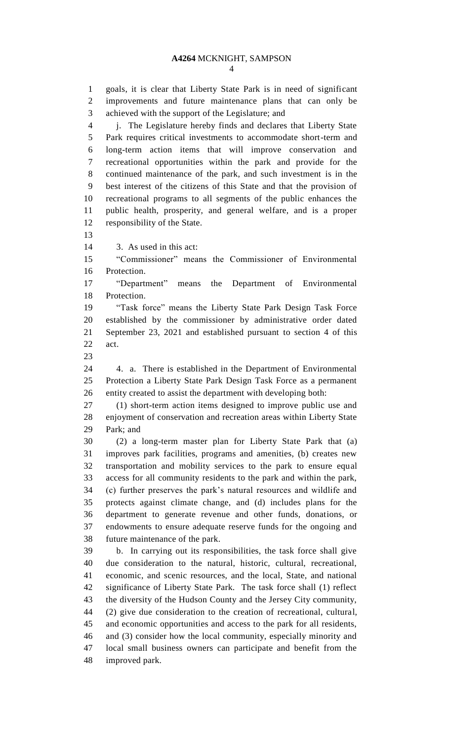goals, it is clear that Liberty State Park is in need of significant improvements and future maintenance plans that can only be achieved with the support of the Legislature; and j. The Legislature hereby finds and declares that Liberty State Park requires critical investments to accommodate short-term and

 long-term action items that will improve conservation and recreational opportunities within the park and provide for the continued maintenance of the park, and such investment is in the best interest of the citizens of this State and that the provision of recreational programs to all segments of the public enhances the public health, prosperity, and general welfare, and is a proper responsibility of the State.

3. As used in this act:

 "Commissioner" means the Commissioner of Environmental Protection.

 "Department" means the Department of Environmental Protection.

 "Task force" means the Liberty State Park Design Task Force established by the commissioner by administrative order dated September 23, 2021 and established pursuant to section 4 of this act.

 4. a. There is established in the Department of Environmental Protection a Liberty State Park Design Task Force as a permanent entity created to assist the department with developing both:

 (1) short-term action items designed to improve public use and enjoyment of conservation and recreation areas within Liberty State Park; and

 (2) a long-term master plan for Liberty State Park that (a) improves park facilities, programs and amenities, (b) creates new transportation and mobility services to the park to ensure equal access for all community residents to the park and within the park, (c) further preserves the park's natural resources and wildlife and protects against climate change, and (d) includes plans for the department to generate revenue and other funds, donations, or endowments to ensure adequate reserve funds for the ongoing and future maintenance of the park.

 b. In carrying out its responsibilities, the task force shall give due consideration to the natural, historic, cultural, recreational, economic, and scenic resources, and the local, State, and national significance of Liberty State Park. The task force shall (1) reflect the diversity of the Hudson County and the Jersey City community, (2) give due consideration to the creation of recreational, cultural, and economic opportunities and access to the park for all residents, and (3) consider how the local community, especially minority and local small business owners can participate and benefit from the improved park.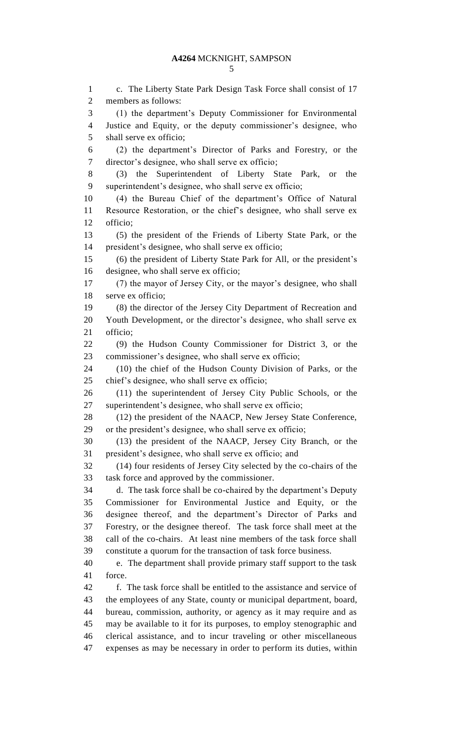c. The Liberty State Park Design Task Force shall consist of 17 members as follows: (1) the department's Deputy Commissioner for Environmental Justice and Equity, or the deputy commissioner's designee, who shall serve ex officio; (2) the department's Director of Parks and Forestry, or the director's designee, who shall serve ex officio; (3) the Superintendent of Liberty State Park, or the superintendent's designee, who shall serve ex officio; (4) the Bureau Chief of the department's Office of Natural Resource Restoration, or the chief's designee, who shall serve ex officio; (5) the president of the Friends of Liberty State Park, or the president's designee, who shall serve ex officio; (6) the president of Liberty State Park for All, or the president's designee, who shall serve ex officio; (7) the mayor of Jersey City, or the mayor's designee, who shall serve ex officio; (8) the director of the Jersey City Department of Recreation and Youth Development, or the director's designee, who shall serve ex officio; (9) the Hudson County Commissioner for District 3, or the commissioner's designee, who shall serve ex officio; (10) the chief of the Hudson County Division of Parks, or the chief's designee, who shall serve ex officio; (11) the superintendent of Jersey City Public Schools, or the superintendent's designee, who shall serve ex officio; (12) the president of the NAACP, New Jersey State Conference, or the president's designee, who shall serve ex officio; (13) the president of the NAACP, Jersey City Branch, or the president's designee, who shall serve ex officio; and (14) four residents of Jersey City selected by the co-chairs of the task force and approved by the commissioner. d. The task force shall be co-chaired by the department's Deputy Commissioner for Environmental Justice and Equity, or the designee thereof, and the department's Director of Parks and Forestry, or the designee thereof. The task force shall meet at the call of the co-chairs. At least nine members of the task force shall constitute a quorum for the transaction of task force business. e. The department shall provide primary staff support to the task force. f. The task force shall be entitled to the assistance and service of the employees of any State, county or municipal department, board, bureau, commission, authority, or agency as it may require and as may be available to it for its purposes, to employ stenographic and clerical assistance, and to incur traveling or other miscellaneous expenses as may be necessary in order to perform its duties, within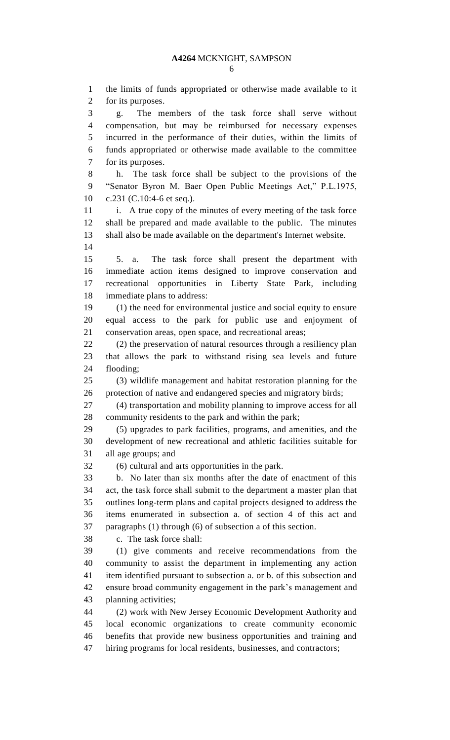the limits of funds appropriated or otherwise made available to it for its purposes. g. The members of the task force shall serve without compensation, but may be reimbursed for necessary expenses incurred in the performance of their duties, within the limits of funds appropriated or otherwise made available to the committee for its purposes. h. The task force shall be subject to the provisions of the "Senator Byron M. Baer Open Public Meetings Act," P.L.1975, c.231 (C.10:4-6 et seq.). 11 i. A true copy of the minutes of every meeting of the task force shall be prepared and made available to the public. The minutes shall also be made available on the department's Internet website. 5. a. The task force shall present the department with immediate action items designed to improve conservation and recreational opportunities in Liberty State Park, including immediate plans to address: (1) the need for environmental justice and social equity to ensure equal access to the park for public use and enjoyment of conservation areas, open space, and recreational areas; (2) the preservation of natural resources through a resiliency plan that allows the park to withstand rising sea levels and future flooding; (3) wildlife management and habitat restoration planning for the protection of native and endangered species and migratory birds; (4) transportation and mobility planning to improve access for all community residents to the park and within the park; (5) upgrades to park facilities, programs, and amenities, and the development of new recreational and athletic facilities suitable for all age groups; and (6) cultural and arts opportunities in the park. b. No later than six months after the date of enactment of this act, the task force shall submit to the department a master plan that outlines long-term plans and capital projects designed to address the items enumerated in subsection a. of section 4 of this act and paragraphs (1) through (6) of subsection a of this section. c. The task force shall: (1) give comments and receive recommendations from the community to assist the department in implementing any action item identified pursuant to subsection a. or b. of this subsection and ensure broad community engagement in the park's management and planning activities; (2) work with New Jersey Economic Development Authority and local economic organizations to create community economic benefits that provide new business opportunities and training and hiring programs for local residents, businesses, and contractors;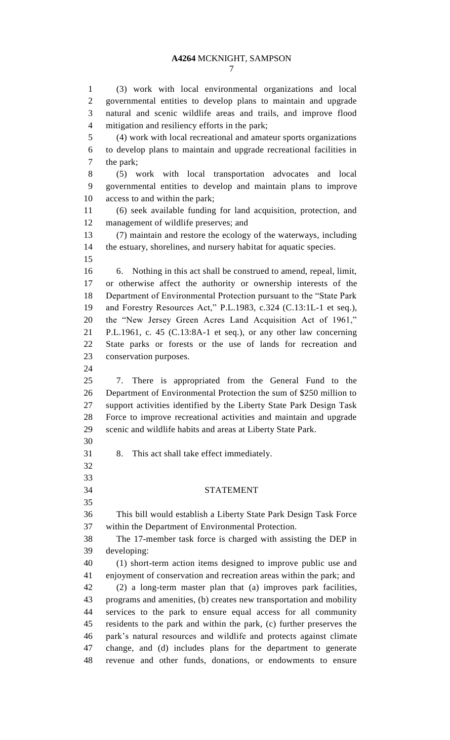### **A4264** MCKNIGHT, SAMPSON

 (3) work with local environmental organizations and local governmental entities to develop plans to maintain and upgrade natural and scenic wildlife areas and trails, and improve flood mitigation and resiliency efforts in the park; (4) work with local recreational and amateur sports organizations to develop plans to maintain and upgrade recreational facilities in the park; (5) work with local transportation advocates and local governmental entities to develop and maintain plans to improve access to and within the park; (6) seek available funding for land acquisition, protection, and management of wildlife preserves; and (7) maintain and restore the ecology of the waterways, including the estuary, shorelines, and nursery habitat for aquatic species. 6. Nothing in this act shall be construed to amend, repeal, limit, or otherwise affect the authority or ownership interests of the Department of Environmental Protection pursuant to the "State Park and Forestry Resources Act," P.L.1983, c.324 (C.13:1L-1 et seq.), the "New Jersey Green Acres Land Acquisition Act of 1961," P.L.1961, c. 45 (C.13:8A-1 et seq.), or any other law concerning State parks or forests or the use of lands for recreation and conservation purposes. 7. There is appropriated from the General Fund to the Department of Environmental Protection the sum of \$250 million to support activities identified by the Liberty State Park Design Task Force to improve recreational activities and maintain and upgrade scenic and wildlife habits and areas at Liberty State Park. 8. This act shall take effect immediately. STATEMENT This bill would establish a Liberty State Park Design Task Force within the Department of Environmental Protection. The 17-member task force is charged with assisting the DEP in developing: (1) short-term action items designed to improve public use and enjoyment of conservation and recreation areas within the park; and (2) a long-term master plan that (a) improves park facilities, programs and amenities, (b) creates new transportation and mobility services to the park to ensure equal access for all community residents to the park and within the park, (c) further preserves the park's natural resources and wildlife and protects against climate change, and (d) includes plans for the department to generate revenue and other funds, donations, or endowments to ensure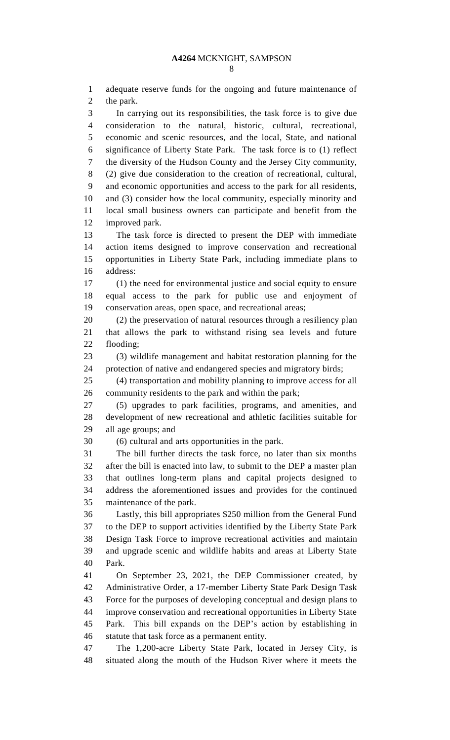adequate reserve funds for the ongoing and future maintenance of the park. In carrying out its responsibilities, the task force is to give due consideration to the natural, historic, cultural, recreational, economic and scenic resources, and the local, State, and national significance of Liberty State Park. The task force is to (1) reflect the diversity of the Hudson County and the Jersey City community, (2) give due consideration to the creation of recreational, cultural, and economic opportunities and access to the park for all residents, and (3) consider how the local community, especially minority and local small business owners can participate and benefit from the improved park. The task force is directed to present the DEP with immediate action items designed to improve conservation and recreational opportunities in Liberty State Park, including immediate plans to address: (1) the need for environmental justice and social equity to ensure equal access to the park for public use and enjoyment of conservation areas, open space, and recreational areas; (2) the preservation of natural resources through a resiliency plan that allows the park to withstand rising sea levels and future flooding; (3) wildlife management and habitat restoration planning for the protection of native and endangered species and migratory birds; (4) transportation and mobility planning to improve access for all community residents to the park and within the park; (5) upgrades to park facilities, programs, and amenities, and development of new recreational and athletic facilities suitable for all age groups; and (6) cultural and arts opportunities in the park. The bill further directs the task force, no later than six months after the bill is enacted into law, to submit to the DEP a master plan that outlines long-term plans and capital projects designed to address the aforementioned issues and provides for the continued maintenance of the park. Lastly, this bill appropriates \$250 million from the General Fund to the DEP to support activities identified by the Liberty State Park Design Task Force to improve recreational activities and maintain and upgrade scenic and wildlife habits and areas at Liberty State Park. On September 23, 2021, the DEP Commissioner created, by Administrative Order, a 17-member Liberty State Park Design Task Force for the purposes of developing conceptual and design plans to improve conservation and recreational opportunities in Liberty State Park. This bill expands on the DEP's action by establishing in statute that task force as a permanent entity. The 1,200-acre Liberty State Park, located in Jersey City, is

situated along the mouth of the Hudson River where it meets the